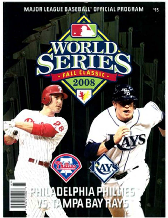